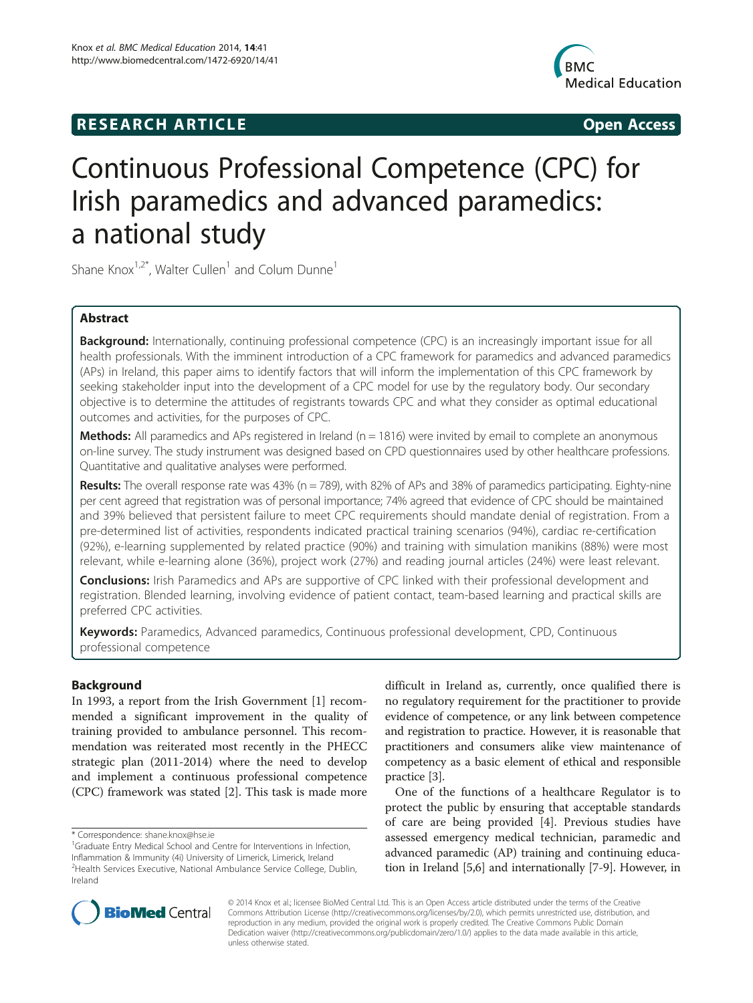# **RESEARCH ARTICLE Example 2014 CONSIDERING CONSIDERING CONSIDERING CONSIDERING CONSIDERING CONSIDERING CONSIDERING CONSIDERING CONSIDERING CONSIDERING CONSIDERING CONSIDERING CONSIDERING CONSIDERING CONSIDERING CONSIDE**



# Continuous Professional Competence (CPC) for Irish paramedics and advanced paramedics: a national study

Shane Knox $1.2^*$ , Walter Cullen<sup>1</sup> and Colum Dunne<sup>1</sup>

# Abstract

Background: Internationally, continuing professional competence (CPC) is an increasingly important issue for all health professionals. With the imminent introduction of a CPC framework for paramedics and advanced paramedics (APs) in Ireland, this paper aims to identify factors that will inform the implementation of this CPC framework by seeking stakeholder input into the development of a CPC model for use by the regulatory body. Our secondary objective is to determine the attitudes of registrants towards CPC and what they consider as optimal educational outcomes and activities, for the purposes of CPC.

**Methods:** All paramedics and APs registered in Ireland  $(n = 1816)$  were invited by email to complete an anonymous on-line survey. The study instrument was designed based on CPD questionnaires used by other healthcare professions. Quantitative and qualitative analyses were performed.

Results: The overall response rate was 43% ( $n = 789$ ), with 82% of APs and 38% of paramedics participating. Eighty-nine per cent agreed that registration was of personal importance; 74% agreed that evidence of CPC should be maintained and 39% believed that persistent failure to meet CPC requirements should mandate denial of registration. From a pre-determined list of activities, respondents indicated practical training scenarios (94%), cardiac re-certification (92%), e-learning supplemented by related practice (90%) and training with simulation manikins (88%) were most relevant, while e-learning alone (36%), project work (27%) and reading journal articles (24%) were least relevant.

**Conclusions:** Irish Paramedics and APs are supportive of CPC linked with their professional development and registration. Blended learning, involving evidence of patient contact, team-based learning and practical skills are preferred CPC activities.

Keywords: Paramedics, Advanced paramedics, Continuous professional development, CPD, Continuous professional competence

# **Background**

In 1993, a report from the Irish Government [[1\]](#page-6-0) recommended a significant improvement in the quality of training provided to ambulance personnel. This recommendation was reiterated most recently in the PHECC strategic plan (2011-2014) where the need to develop and implement a continuous professional competence (CPC) framework was stated [[2\]](#page-6-0). This task is made more

\* Correspondence: [shane.knox@hse.ie](mailto:shane.knox@hse.ie) <sup>1</sup>

difficult in Ireland as, currently, once qualified there is no regulatory requirement for the practitioner to provide evidence of competence, or any link between competence and registration to practice. However, it is reasonable that practitioners and consumers alike view maintenance of competency as a basic element of ethical and responsible practice [\[3\]](#page-6-0).

One of the functions of a healthcare Regulator is to protect the public by ensuring that acceptable standards of care are being provided [\[4](#page-6-0)]. Previous studies have assessed emergency medical technician, paramedic and advanced paramedic (AP) training and continuing education in Ireland [\[5,6\]](#page-6-0) and internationally [\[7-9](#page-6-0)]. However, in



© 2014 Knox et al.; licensee BioMed Central Ltd. This is an Open Access article distributed under the terms of the Creative Commons Attribution License [\(http://creativecommons.org/licenses/by/2.0\)](http://creativecommons.org/licenses/by/2.0), which permits unrestricted use, distribution, and reproduction in any medium, provided the original work is properly credited. The Creative Commons Public Domain Dedication waiver [\(http://creativecommons.org/publicdomain/zero/1.0/](http://creativecommons.org/publicdomain/zero/1.0/)) applies to the data made available in this article, unless otherwise stated.

<sup>&</sup>lt;sup>1</sup>Graduate Entry Medical School and Centre for Interventions in Infection, Inflammation & Immunity (4i) University of Limerick, Limerick, Ireland 2 Health Services Executive, National Ambulance Service College, Dublin, Ireland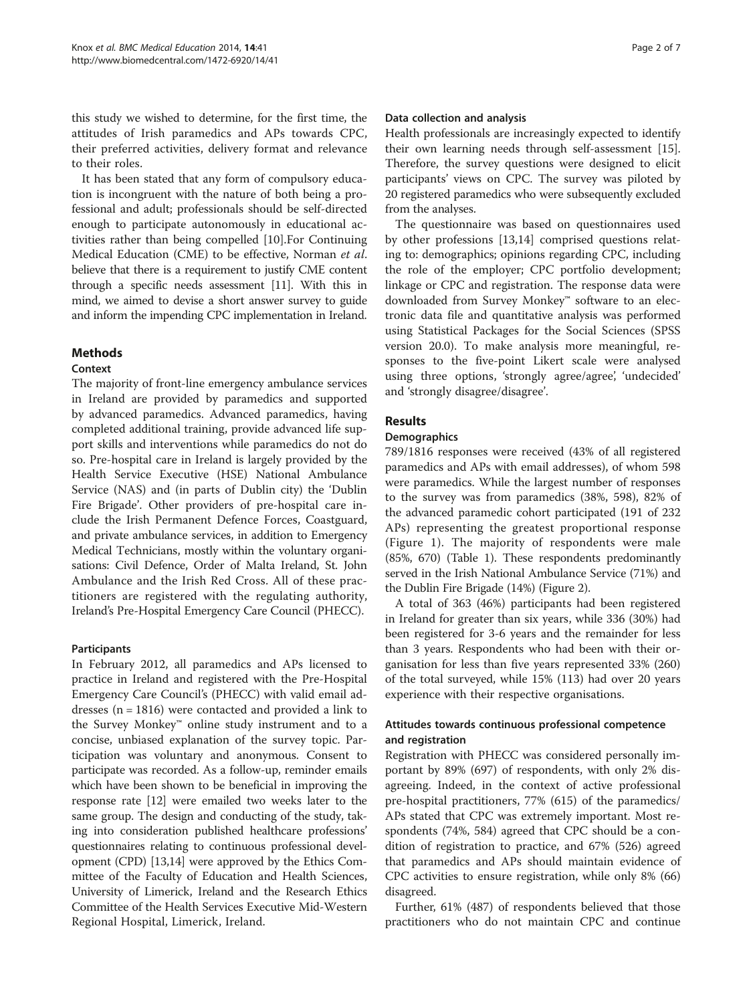this study we wished to determine, for the first time, the attitudes of Irish paramedics and APs towards CPC, their preferred activities, delivery format and relevance to their roles.

It has been stated that any form of compulsory education is incongruent with the nature of both being a professional and adult; professionals should be self-directed enough to participate autonomously in educational activities rather than being compelled [[10](#page-6-0)].For Continuing Medical Education (CME) to be effective, Norman et al. believe that there is a requirement to justify CME content through a specific needs assessment [[11](#page-6-0)]. With this in mind, we aimed to devise a short answer survey to guide and inform the impending CPC implementation in Ireland.

# Methods

#### **Context**

The majority of front-line emergency ambulance services in Ireland are provided by paramedics and supported by advanced paramedics. Advanced paramedics, having completed additional training, provide advanced life support skills and interventions while paramedics do not do so. Pre-hospital care in Ireland is largely provided by the Health Service Executive (HSE) National Ambulance Service (NAS) and (in parts of Dublin city) the 'Dublin Fire Brigade'. Other providers of pre-hospital care include the Irish Permanent Defence Forces, Coastguard, and private ambulance services, in addition to Emergency Medical Technicians, mostly within the voluntary organisations: Civil Defence, Order of Malta Ireland, St. John Ambulance and the Irish Red Cross. All of these practitioners are registered with the regulating authority, Ireland's Pre-Hospital Emergency Care Council (PHECC).

#### Participants

In February 2012, all paramedics and APs licensed to practice in Ireland and registered with the Pre-Hospital Emergency Care Council's (PHECC) with valid email addresses ( $n = 1816$ ) were contacted and provided a link to the Survey Monkey™ online study instrument and to a concise, unbiased explanation of the survey topic. Participation was voluntary and anonymous. Consent to participate was recorded. As a follow-up, reminder emails which have been shown to be beneficial in improving the response rate [\[12\]](#page-6-0) were emailed two weeks later to the same group. The design and conducting of the study, taking into consideration published healthcare professions' questionnaires relating to continuous professional development (CPD) [\[13,14](#page-6-0)] were approved by the Ethics Committee of the Faculty of Education and Health Sciences, University of Limerick, Ireland and the Research Ethics Committee of the Health Services Executive Mid-Western Regional Hospital, Limerick, Ireland.

#### Data collection and analysis

Health professionals are increasingly expected to identify their own learning needs through self-assessment [\[15](#page-6-0)]. Therefore, the survey questions were designed to elicit participants' views on CPC. The survey was piloted by 20 registered paramedics who were subsequently excluded from the analyses.

The questionnaire was based on questionnaires used by other professions [[13,14\]](#page-6-0) comprised questions relating to: demographics; opinions regarding CPC, including the role of the employer; CPC portfolio development; linkage or CPC and registration. The response data were downloaded from Survey Monkey™ software to an electronic data file and quantitative analysis was performed using Statistical Packages for the Social Sciences (SPSS version 20.0). To make analysis more meaningful, responses to the five-point Likert scale were analysed using three options, 'strongly agree/agree', 'undecided' and 'strongly disagree/disagree'.

# Results

#### **Demographics**

789/1816 responses were received (43% of all registered paramedics and APs with email addresses), of whom 598 were paramedics. While the largest number of responses to the survey was from paramedics (38%, 598), 82% of the advanced paramedic cohort participated (191 of 232 APs) representing the greatest proportional response (Figure [1\)](#page-2-0). The majority of respondents were male (85%, 670) (Table [1\)](#page-2-0). These respondents predominantly served in the Irish National Ambulance Service (71%) and the Dublin Fire Brigade (14%) (Figure [2](#page-2-0)).

A total of 363 (46%) participants had been registered in Ireland for greater than six years, while 336 (30%) had been registered for 3-6 years and the remainder for less than 3 years. Respondents who had been with their organisation for less than five years represented 33% (260) of the total surveyed, while 15% (113) had over 20 years experience with their respective organisations.

### Attitudes towards continuous professional competence and registration

Registration with PHECC was considered personally important by 89% (697) of respondents, with only 2% disagreeing. Indeed, in the context of active professional pre-hospital practitioners, 77% (615) of the paramedics/ APs stated that CPC was extremely important. Most respondents (74%, 584) agreed that CPC should be a condition of registration to practice, and 67% (526) agreed that paramedics and APs should maintain evidence of CPC activities to ensure registration, while only 8% (66) disagreed.

Further, 61% (487) of respondents believed that those practitioners who do not maintain CPC and continue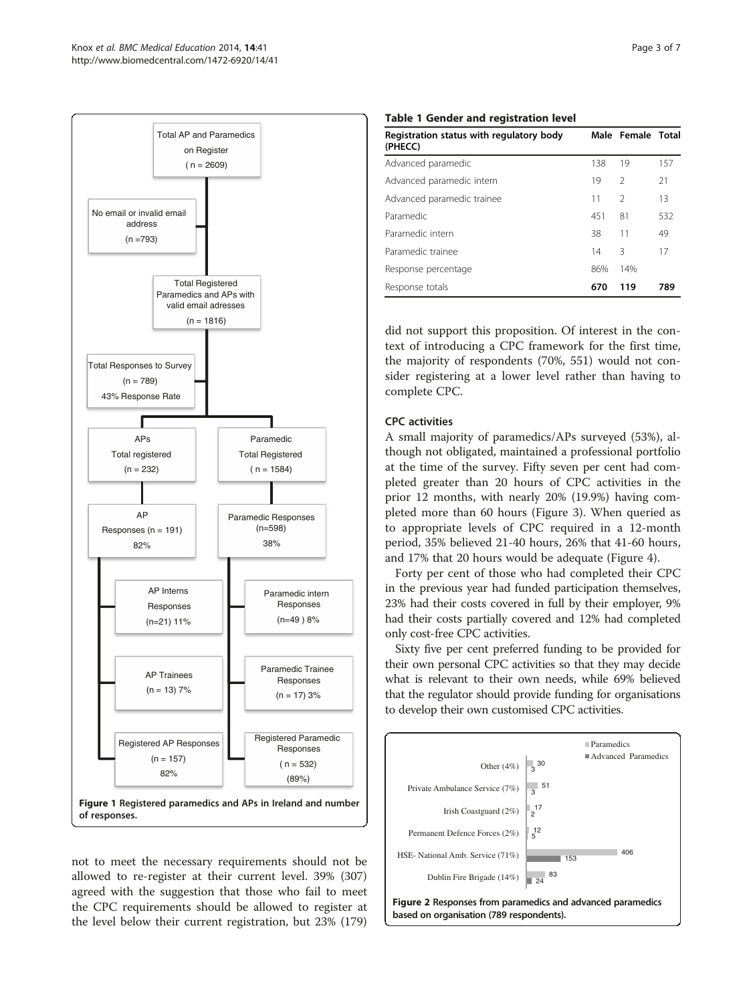<span id="page-2-0"></span>

not to meet the necessary requirements should not be allowed to re-register at their current level. 39% (307) agreed with the suggestion that those who fail to meet the CPC requirements should be allowed to register at the level below their current registration, but 23% (179)

#### Table 1 Gender and registration level

| Registration status with regulatory body<br>(PHECC) |     | Male Female Total |     |
|-----------------------------------------------------|-----|-------------------|-----|
| Advanced paramedic                                  | 138 | 19                | 157 |
| Advanced paramedic intern                           | 19  | $\mathfrak{D}$    | 21  |
| Advanced paramedic trainee                          | 11  | $\mathcal{P}$     | 13  |
| Paramedic                                           | 451 | 81                | 532 |
| Paramedic intern                                    | 38  | 11                | 49  |
| Paramedic trainee                                   | 14  | 3                 | 17  |
| Response percentage                                 | 86% | 14%               |     |
| Response totals                                     | 670 | 119               | 789 |

did not support this proposition. Of interest in the context of introducing a CPC framework for the first time, the majority of respondents (70%, 551) would not consider registering at a lower level rather than having to complete CPC.

#### CPC activities

A small majority of paramedics/APs surveyed (53%), although not obligated, maintained a professional portfolio at the time of the survey. Fifty seven per cent had completed greater than 20 hours of CPC activities in the prior 12 months, with nearly 20% (19.9%) having completed more than 60 hours (Figure [3](#page-3-0)). When queried as to appropriate levels of CPC required in a 12-month period, 35% believed 21-40 hours, 26% that 41-60 hours, and 17% that 20 hours would be adequate (Figure [4\)](#page-3-0).

Forty per cent of those who had completed their CPC in the previous year had funded participation themselves, 23% had their costs covered in full by their employer, 9% had their costs partially covered and 12% had completed only cost-free CPC activities.

Sixty five per cent preferred funding to be provided for their own personal CPC activities so that they may decide what is relevant to their own needs, while 69% believed that the regulator should provide funding for organisations to develop their own customised CPC activities.

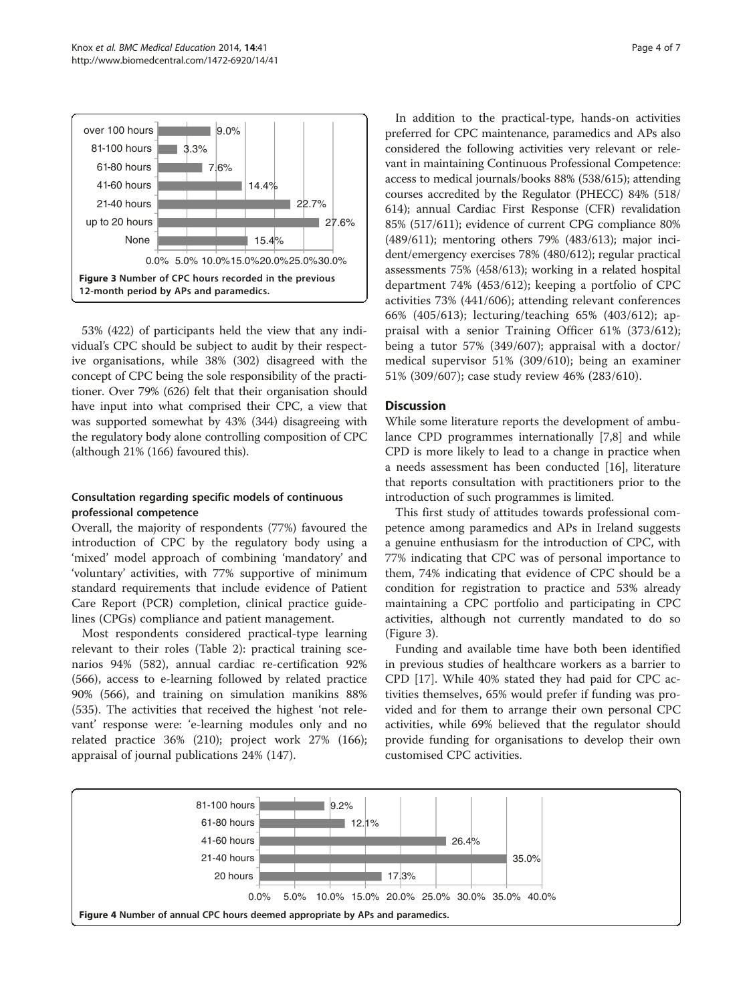<span id="page-3-0"></span>

53% (422) of participants held the view that any individual's CPC should be subject to audit by their respective organisations, while 38% (302) disagreed with the concept of CPC being the sole responsibility of the practitioner. Over 79% (626) felt that their organisation should have input into what comprised their CPC, a view that was supported somewhat by 43% (344) disagreeing with the regulatory body alone controlling composition of CPC (although 21% (166) favoured this).

#### Consultation regarding specific models of continuous professional competence

Overall, the majority of respondents (77%) favoured the introduction of CPC by the regulatory body using a 'mixed' model approach of combining 'mandatory' and 'voluntary' activities, with 77% supportive of minimum standard requirements that include evidence of Patient Care Report (PCR) completion, clinical practice guidelines (CPGs) compliance and patient management.

Most respondents considered practical-type learning relevant to their roles (Table [2\)](#page-4-0): practical training scenarios 94% (582), annual cardiac re-certification 92% (566), access to e-learning followed by related practice 90% (566), and training on simulation manikins 88% (535). The activities that received the highest 'not relevant' response were: 'e-learning modules only and no related practice 36% (210); project work 27% (166); appraisal of journal publications 24% (147).

In addition to the practical-type, hands-on activities preferred for CPC maintenance, paramedics and APs also considered the following activities very relevant or relevant in maintaining Continuous Professional Competence: access to medical journals/books 88% (538/615); attending courses accredited by the Regulator (PHECC) 84% (518/ 614); annual Cardiac First Response (CFR) revalidation 85% (517/611); evidence of current CPG compliance 80% (489/611); mentoring others 79% (483/613); major incident/emergency exercises 78% (480/612); regular practical assessments 75% (458/613); working in a related hospital department 74% (453/612); keeping a portfolio of CPC activities 73% (441/606); attending relevant conferences 66% (405/613); lecturing/teaching 65% (403/612); appraisal with a senior Training Officer 61% (373/612); being a tutor 57% (349/607); appraisal with a doctor/ medical supervisor 51% (309/610); being an examiner 51% (309/607); case study review 46% (283/610).

#### **Discussion**

While some literature reports the development of ambulance CPD programmes internationally [\[7,8](#page-6-0)] and while CPD is more likely to lead to a change in practice when a needs assessment has been conducted [[16\]](#page-6-0), literature that reports consultation with practitioners prior to the introduction of such programmes is limited.

This first study of attitudes towards professional competence among paramedics and APs in Ireland suggests a genuine enthusiasm for the introduction of CPC, with 77% indicating that CPC was of personal importance to them, 74% indicating that evidence of CPC should be a condition for registration to practice and 53% already maintaining a CPC portfolio and participating in CPC activities, although not currently mandated to do so (Figure 3).

Funding and available time have both been identified in previous studies of healthcare workers as a barrier to CPD [\[17\]](#page-6-0). While 40% stated they had paid for CPC activities themselves, 65% would prefer if funding was provided and for them to arrange their own personal CPC activities, while 69% believed that the regulator should provide funding for organisations to develop their own customised CPC activities.

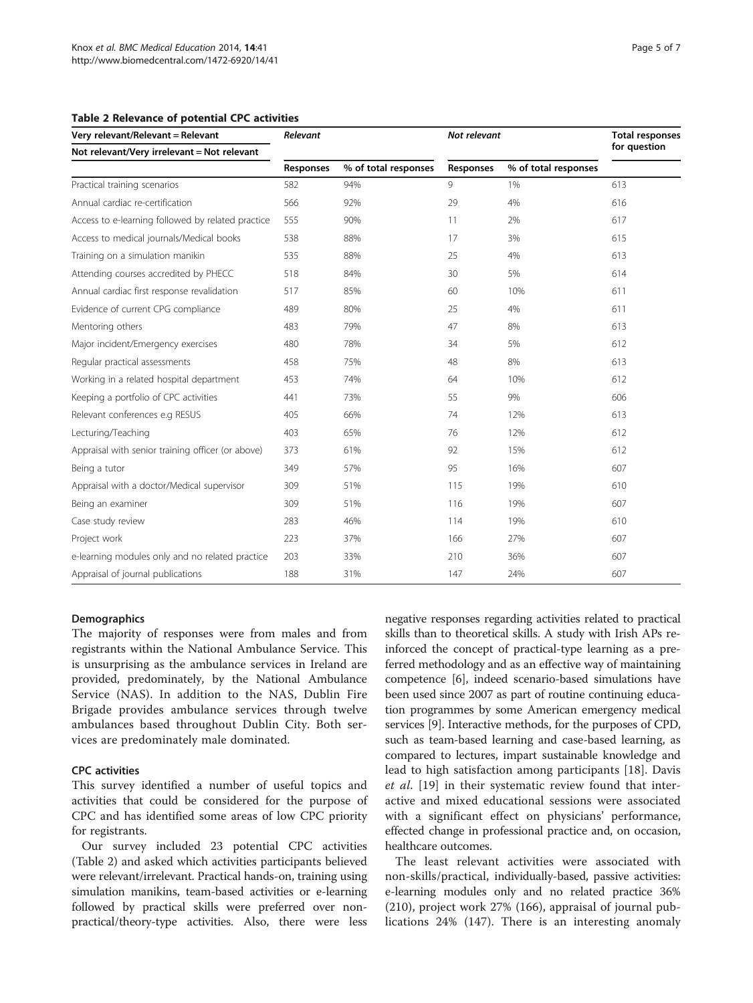<span id="page-4-0"></span>

| Table 2 Relevance of potential CPC activities |  |  |  |  |
|-----------------------------------------------|--|--|--|--|
|-----------------------------------------------|--|--|--|--|

| Very relevant/Relevant = Relevant                 | Relevant  |                      | Not relevant |                      | <b>Total responses</b> |
|---------------------------------------------------|-----------|----------------------|--------------|----------------------|------------------------|
| Not relevant/Very irrelevant = Not relevant       |           |                      |              |                      | for question           |
|                                                   | Responses | % of total responses | Responses    | % of total responses |                        |
| Practical training scenarios                      | 582       | 94%                  | 9            | 1%                   | 613                    |
| Annual cardiac re-certification                   | 566       | 92%                  | 29           | 4%                   | 616                    |
| Access to e-learning followed by related practice | 555       | 90%                  | 11           | 2%                   | 617                    |
| Access to medical journals/Medical books          | 538       | 88%                  | 17           | 3%                   | 615                    |
| Training on a simulation manikin                  | 535       | 88%                  | 25           | 4%                   | 613                    |
| Attending courses accredited by PHECC             | 518       | 84%                  | 30           | 5%                   | 614                    |
| Annual cardiac first response revalidation        | 517       | 85%                  | 60           | 10%                  | 611                    |
| Evidence of current CPG compliance                | 489       | 80%                  | 25           | 4%                   | 611                    |
| Mentoring others                                  | 483       | 79%                  | 47           | 8%                   | 613                    |
| Major incident/Emergency exercises                | 480       | 78%                  | 34           | 5%                   | 612                    |
| Regular practical assessments                     | 458       | 75%                  | 48           | 8%                   | 613                    |
| Working in a related hospital department          | 453       | 74%                  | 64           | 10%                  | 612                    |
| Keeping a portfolio of CPC activities             | 441       | 73%                  | 55           | 9%                   | 606                    |
| Relevant conferences e.g RESUS                    | 405       | 66%                  | 74           | 12%                  | 613                    |
| Lecturing/Teaching                                | 403       | 65%                  | 76           | 12%                  | 612                    |
| Appraisal with senior training officer (or above) | 373       | 61%                  | 92           | 15%                  | 612                    |
| Being a tutor                                     | 349       | 57%                  | 95           | 16%                  | 607                    |
| Appraisal with a doctor/Medical supervisor        | 309       | 51%                  | 115          | 19%                  | 610                    |
| Being an examiner                                 | 309       | 51%                  | 116          | 19%                  | 607                    |
| Case study review                                 | 283       | 46%                  | 114          | 19%                  | 610                    |
| Project work                                      | 223       | 37%                  | 166          | 27%                  | 607                    |
| e-learning modules only and no related practice   | 203       | 33%                  | 210          | 36%                  | 607                    |
| Appraisal of journal publications                 | 188       | 31%                  | 147          | 24%                  | 607                    |

#### **Demographics**

The majority of responses were from males and from registrants within the National Ambulance Service. This is unsurprising as the ambulance services in Ireland are provided, predominately, by the National Ambulance Service (NAS). In addition to the NAS, Dublin Fire Brigade provides ambulance services through twelve ambulances based throughout Dublin City. Both services are predominately male dominated.

#### CPC activities

This survey identified a number of useful topics and activities that could be considered for the purpose of CPC and has identified some areas of low CPC priority for registrants.

Our survey included 23 potential CPC activities (Table 2) and asked which activities participants believed were relevant/irrelevant. Practical hands-on, training using simulation manikins, team-based activities or e-learning followed by practical skills were preferred over nonpractical/theory-type activities. Also, there were less negative responses regarding activities related to practical skills than to theoretical skills. A study with Irish APs reinforced the concept of practical-type learning as a preferred methodology and as an effective way of maintaining competence [[6](#page-6-0)], indeed scenario-based simulations have been used since 2007 as part of routine continuing education programmes by some American emergency medical services [[9](#page-6-0)]. Interactive methods, for the purposes of CPD, such as team-based learning and case-based learning, as compared to lectures, impart sustainable knowledge and lead to high satisfaction among participants [[18\]](#page-6-0). Davis et al. [\[19](#page-6-0)] in their systematic review found that interactive and mixed educational sessions were associated with a significant effect on physicians' performance, effected change in professional practice and, on occasion, healthcare outcomes.

The least relevant activities were associated with non-skills/practical, individually-based, passive activities: e-learning modules only and no related practice 36% (210), project work 27% (166), appraisal of journal publications 24% (147). There is an interesting anomaly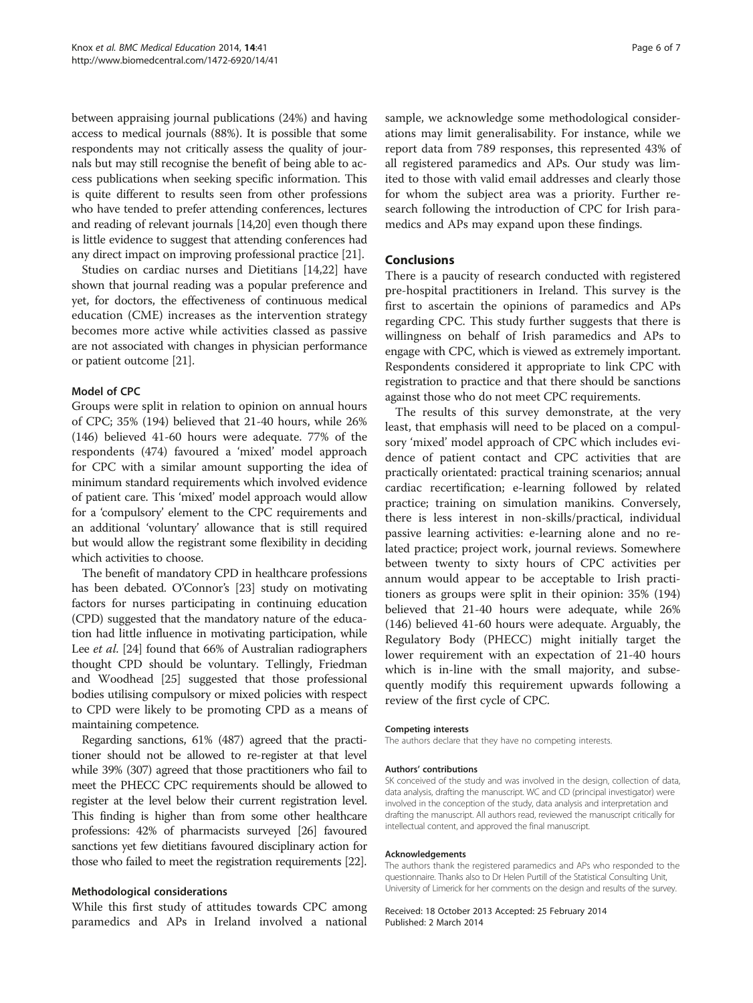between appraising journal publications (24%) and having access to medical journals (88%). It is possible that some respondents may not critically assess the quality of journals but may still recognise the benefit of being able to access publications when seeking specific information. This is quite different to results seen from other professions who have tended to prefer attending conferences, lectures and reading of relevant journals [\[14,20](#page-6-0)] even though there is little evidence to suggest that attending conferences had any direct impact on improving professional practice [\[21](#page-6-0)].

Studies on cardiac nurses and Dietitians [[14,22\]](#page-6-0) have shown that journal reading was a popular preference and yet, for doctors, the effectiveness of continuous medical education (CME) increases as the intervention strategy becomes more active while activities classed as passive are not associated with changes in physician performance or patient outcome [\[21\]](#page-6-0).

#### Model of CPC

Groups were split in relation to opinion on annual hours of CPC; 35% (194) believed that 21-40 hours, while 26% (146) believed 41-60 hours were adequate. 77% of the respondents (474) favoured a 'mixed' model approach for CPC with a similar amount supporting the idea of minimum standard requirements which involved evidence of patient care. This 'mixed' model approach would allow for a 'compulsory' element to the CPC requirements and an additional 'voluntary' allowance that is still required but would allow the registrant some flexibility in deciding which activities to choose.

The benefit of mandatory CPD in healthcare professions has been debated. O'Connor's [\[23\]](#page-6-0) study on motivating factors for nurses participating in continuing education (CPD) suggested that the mandatory nature of the education had little influence in motivating participation, while Lee et al. [[24\]](#page-6-0) found that 66% of Australian radiographers thought CPD should be voluntary. Tellingly, Friedman and Woodhead [\[25](#page-6-0)] suggested that those professional bodies utilising compulsory or mixed policies with respect to CPD were likely to be promoting CPD as a means of maintaining competence.

Regarding sanctions, 61% (487) agreed that the practitioner should not be allowed to re-register at that level while 39% (307) agreed that those practitioners who fail to meet the PHECC CPC requirements should be allowed to register at the level below their current registration level. This finding is higher than from some other healthcare professions: 42% of pharmacists surveyed [\[26\]](#page-6-0) favoured sanctions yet few dietitians favoured disciplinary action for those who failed to meet the registration requirements [[22](#page-6-0)].

#### Methodological considerations

While this first study of attitudes towards CPC among paramedics and APs in Ireland involved a national sample, we acknowledge some methodological considerations may limit generalisability. For instance, while we report data from 789 responses, this represented 43% of all registered paramedics and APs. Our study was limited to those with valid email addresses and clearly those for whom the subject area was a priority. Further research following the introduction of CPC for Irish paramedics and APs may expand upon these findings.

#### Conclusions

There is a paucity of research conducted with registered pre-hospital practitioners in Ireland. This survey is the first to ascertain the opinions of paramedics and APs regarding CPC. This study further suggests that there is willingness on behalf of Irish paramedics and APs to engage with CPC, which is viewed as extremely important. Respondents considered it appropriate to link CPC with registration to practice and that there should be sanctions against those who do not meet CPC requirements.

The results of this survey demonstrate, at the very least, that emphasis will need to be placed on a compulsory 'mixed' model approach of CPC which includes evidence of patient contact and CPC activities that are practically orientated: practical training scenarios; annual cardiac recertification; e-learning followed by related practice; training on simulation manikins. Conversely, there is less interest in non-skills/practical, individual passive learning activities: e-learning alone and no related practice; project work, journal reviews. Somewhere between twenty to sixty hours of CPC activities per annum would appear to be acceptable to Irish practitioners as groups were split in their opinion: 35% (194) believed that 21-40 hours were adequate, while 26% (146) believed 41-60 hours were adequate. Arguably, the Regulatory Body (PHECC) might initially target the lower requirement with an expectation of 21-40 hours which is in-line with the small majority, and subsequently modify this requirement upwards following a review of the first cycle of CPC.

#### Competing interests

The authors declare that they have no competing interests.

#### Authors' contributions

SK conceived of the study and was involved in the design, collection of data, data analysis, drafting the manuscript. WC and CD (principal investigator) were involved in the conception of the study, data analysis and interpretation and drafting the manuscript. All authors read, reviewed the manuscript critically for intellectual content, and approved the final manuscript.

#### Acknowledgements

The authors thank the registered paramedics and APs who responded to the questionnaire. Thanks also to Dr Helen Purtill of the Statistical Consulting Unit, University of Limerick for her comments on the design and results of the survey.

Received: 18 October 2013 Accepted: 25 February 2014 Published: 2 March 2014